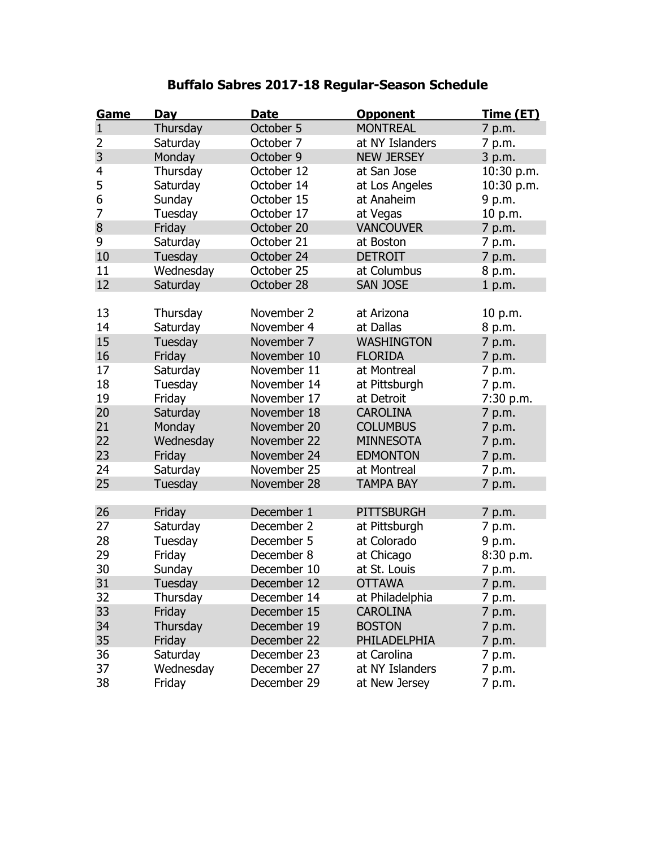## **Buffalo Sabres 2017-18 Regular-Season Schedule**

| Game           | Day            | <b>Date</b> | <b>Opponent</b>   | <u>Time (ET)</u> |
|----------------|----------------|-------------|-------------------|------------------|
| $\mathbf{1}$   | Thursday       | October 5   | <b>MONTREAL</b>   | 7 p.m.           |
| 2              | Saturday       | October 7   | at NY Islanders   | 7 p.m.           |
| $\overline{3}$ | Monday         | October 9   | <b>NEW JERSEY</b> | 3 p.m.           |
| 4              | Thursday       | October 12  | at San Jose       | 10:30 p.m.       |
| 5              | Saturday       | October 14  | at Los Angeles    | 10:30 p.m.       |
| 6              | Sunday         | October 15  | at Anaheim        | 9 p.m.           |
| 7              | Tuesday        | October 17  | at Vegas          | 10 p.m.          |
| 8              | Friday         | October 20  | <b>VANCOUVER</b>  | 7 p.m.           |
| 9              | Saturday       | October 21  | at Boston         | 7 p.m.           |
| 10             | Tuesday        | October 24  | <b>DETROIT</b>    | 7 p.m.           |
| 11             | Wednesday      | October 25  | at Columbus       | 8 p.m.           |
| 12             | Saturday       | October 28  | SAN JOSE          | 1 p.m.           |
|                |                |             |                   |                  |
| 13             | Thursday       | November 2  | at Arizona        | 10 p.m.          |
| 14             | Saturday       | November 4  | at Dallas         | 8 p.m.           |
| 15             | Tuesday        | November 7  | <b>WASHINGTON</b> | 7 p.m.           |
| 16             | Friday         | November 10 | <b>FLORIDA</b>    | 7 p.m.           |
| 17             | Saturday       | November 11 | at Montreal       | 7 p.m.           |
| 18             | Tuesday        | November 14 | at Pittsburgh     | 7 p.m.           |
| 19             | Friday         | November 17 | at Detroit        | 7:30 p.m.        |
| 20             | Saturday       | November 18 | <b>CAROLINA</b>   | 7 p.m.           |
| 21             | Monday         | November 20 | <b>COLUMBUS</b>   | 7 p.m.           |
| 22             | Wednesday      | November 22 | <b>MINNESOTA</b>  | 7 p.m.           |
| 23             | Friday         | November 24 | <b>EDMONTON</b>   | 7 p.m.           |
| 24             | Saturday       | November 25 | at Montreal       | 7 p.m.           |
| 25             | Tuesday        | November 28 | <b>TAMPA BAY</b>  | 7 p.m.           |
|                |                |             |                   |                  |
| 26             | Friday         | December 1  | <b>PITTSBURGH</b> | 7 p.m.           |
| 27             | Saturday       | December 2  | at Pittsburgh     | 7 p.m.           |
| 28             | Tuesday        | December 5  | at Colorado       | 9 p.m.           |
| 29             | Friday         | December 8  | at Chicago        | 8:30 p.m.        |
| 30             | Sunday         | December 10 | at St. Louis      | 7 p.m.           |
| 31             | <b>Tuesday</b> | December 12 | <b>OTTAWA</b>     | 7 p.m.           |
| 32             | Thursday       | December 14 | at Philadelphia   | 7 p.m.           |
| 33             | Friday         | December 15 | <b>CAROLINA</b>   | 7 p.m.           |
| 34             | Thursday       | December 19 | <b>BOSTON</b>     | 7 p.m.           |
| 35             | Friday         | December 22 | PHILADELPHIA      | 7 p.m.           |
| 36             | Saturday       | December 23 | at Carolina       | 7 p.m.           |
| 37             | Wednesday      | December 27 | at NY Islanders   | 7 p.m.           |
| 38             | Friday         | December 29 | at New Jersey     | 7 p.m.           |